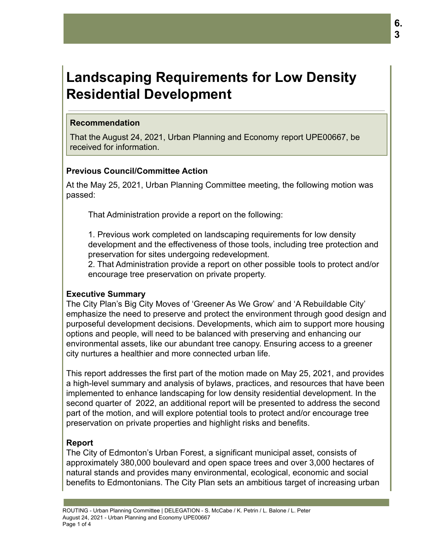# **Landscaping Requirements for Low Density Residential Development**

## **Recommendation**

That the August 24, 2021, Urban Planning and Economy report UPE00667, be received for information.

# **Previous Council/Committee Action**

At the May 25, 2021, Urban Planning Committee meeting, the following motion was passed:

That Administration provide a report on the following:

1. Previous work completed on landscaping requirements for low density development and the effectiveness of those tools, including tree protection and preservation for sites undergoing redevelopment.

2. That Administration provide a report on other possible tools to protect and/or encourage tree preservation on private property.

### **Executive Summary**

The City Plan's Big City Moves of 'Greener As We Grow' and 'A Rebuildable City' emphasize the need to preserve and protect the environment through good design and purposeful development decisions. Developments, which aim to support more housing options and people, will need to be balanced with preserving and enhancing our environmental assets, like our abundant tree canopy. Ensuring access to a greener city nurtures a healthier and more connected urban life.

This report addresses the first part of the motion made on May 25, 2021, and provides a high-level summary and analysis of bylaws, practices, and resources that have been implemented to enhance landscaping for low density residential development. In the second quarter of 2022, an additional report will be presented to address the second part of the motion, and will explore potential tools to protect and/or encourage tree preservation on private properties and highlight risks and benefits.

# **Report**

The City of Edmonton's Urban Forest, a significant municipal asset, consists of approximately 380,000 boulevard and open space trees and over 3,000 hectares of natural stands and provides many environmental, ecological, economic and social benefits to Edmontonians. The City Plan sets an ambitious target of increasing urban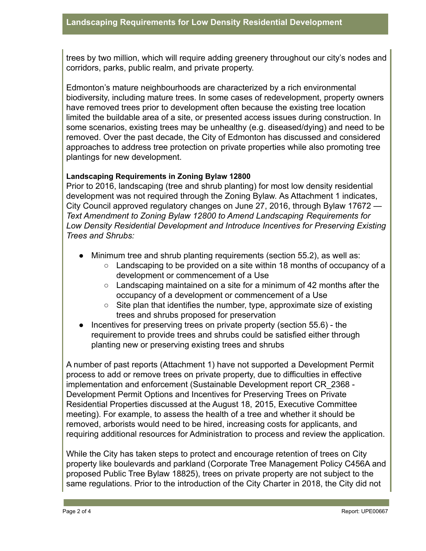trees by two million, which will require adding greenery throughout our city's nodes and corridors, parks, public realm, and private property.

Edmonton's mature neighbourhoods are characterized by a rich environmental biodiversity, including mature trees. In some cases of redevelopment, property owners have removed trees prior to development often because the existing tree location limited the buildable area of a site, or presented access issues during construction. In some scenarios, existing trees may be unhealthy (e.g. diseased/dying) and need to be removed. Over the past decade, the City of Edmonton has discussed and considered approaches to address tree protection on private properties while also promoting tree plantings for new development.

#### **Landscaping Requirements in Zoning Bylaw 12800**

Prior to 2016, landscaping (tree and shrub planting) for most low density residential development was not required through the Zoning Bylaw. As Attachment 1 indicates, City Council approved regulatory changes on June 27, 2016, through Bylaw 17672 -*Text Amendment to Zoning Bylaw 12800 to Amend Landscaping Requirements for Low Density Residential Development and Introduce Incentives for Preserving Existing Trees and Shrubs:*

- Minimum tree and shrub planting requirements (section 55.2), as well as:
	- Landscaping to be provided on a site within 18 months of occupancy of a development or commencement of a Use
	- $\circ$  Landscaping maintained on a site for a minimum of 42 months after the occupancy of a development or commencement of a Use
	- $\circ$  Site plan that identifies the number, type, approximate size of existing trees and shrubs proposed for preservation
- Incentives for preserving trees on private property (section 55.6) the requirement to provide trees and shrubs could be satisfied either through planting new or preserving existing trees and shrubs

A number of past reports (Attachment 1) have not supported a Development Permit process to add or remove trees on private property, due to difficulties in effective implementation and enforcement (Sustainable Development report CR\_2368 - Development Permit Options and Incentives for Preserving Trees on Private Residential Properties discussed at the August 18, 2015, Executive Committee meeting). For example, to assess the health of a tree and whether it should be removed, arborists would need to be hired, increasing costs for applicants, and requiring additional resources for Administration to process and review the application.

While the City has taken steps to protect and encourage retention of trees on City property like boulevards and parkland (Corporate Tree Management Policy C456A and proposed Public Tree Bylaw 18825), trees on private property are not subject to the same regulations. Prior to the introduction of the City Charter in 2018, the City did not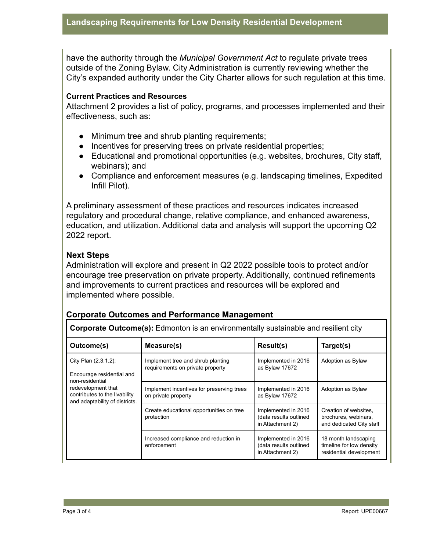have the authority through the *Municipal Government Act* to regulate private trees outside of the Zoning Bylaw. City Administration is currently reviewing whether the City's expanded authority under the City Charter allows for such regulation at this time.

#### **Current Practices and Resources**

Attachment 2 provides a list of policy, programs, and processes implemented and their effectiveness, such as:

- Minimum tree and shrub planting requirements;
- Incentives for preserving trees on private residential properties;
- Educational and promotional opportunities (e.g. websites, brochures, City staff, webinars); and
- Compliance and enforcement measures (e.g. landscaping timelines, Expedited Infill Pilot).

A preliminary assessment of these practices and resources indicates increased regulatory and procedural change, relative compliance, and enhanced awareness, education, and utilization. Additional data and analysis will support the upcoming Q2 2022 report.

#### **Next Steps**

Administration will explore and present in Q2 2022 possible tools to protect and/or encourage tree preservation on private property. Additionally, continued refinements and improvements to current practices and resources will be explored and implemented where possible.

#### **Corporate Outcomes and Performance Management**

| <b>Corporate Outcome(s):</b> Edmonton is an environmentally sustainable and resilient city                                                                    |                                                                       |                                                                   |                                                                             |
|---------------------------------------------------------------------------------------------------------------------------------------------------------------|-----------------------------------------------------------------------|-------------------------------------------------------------------|-----------------------------------------------------------------------------|
| Outcome(s)                                                                                                                                                    | Measure(s)                                                            | Result(s)                                                         | Target(s)                                                                   |
| City Plan (2.3.1.2):<br>Encourage residential and<br>non-residential<br>redevelopment that<br>contributes to the livability<br>and adaptability of districts. | Implement tree and shrub planting<br>requirements on private property | Implemented in 2016<br>as Bylaw 17672                             | Adoption as Bylaw                                                           |
|                                                                                                                                                               | Implement incentives for preserving trees<br>on private property      | Implemented in 2016<br>as Bylaw 17672                             | Adoption as Bylaw                                                           |
|                                                                                                                                                               | Create educational opportunities on tree<br>protection                | Implemented in 2016<br>(data results outlined<br>in Attachment 2) | Creation of websites.<br>brochures, webinars,<br>and dedicated City staff   |
|                                                                                                                                                               | Increased compliance and reduction in<br>enforcement                  | Implemented in 2016<br>(data results outlined<br>in Attachment 2) | 18 month landscaping<br>timeline for low density<br>residential development |